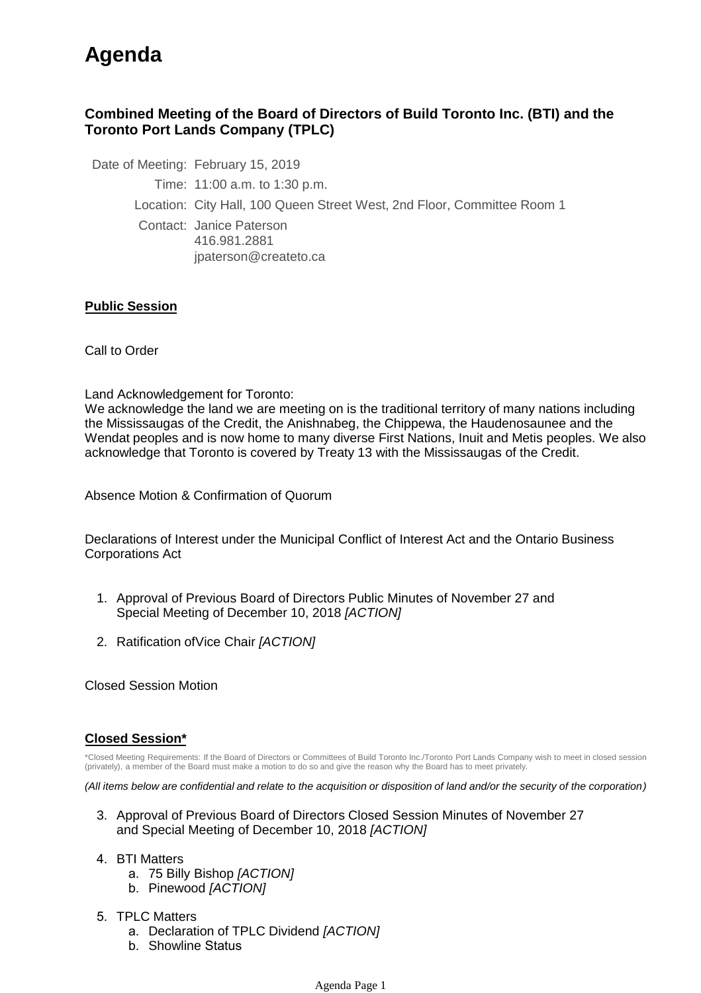## **Agenda**

## **Combined Meeting of the Board of Directors of Build Toronto Inc. (BTI) and the Toronto Port Lands Company (TPLC)**

Date of Meeting: February 15, 2019

Time: 11:00 a.m. to 1:30 p.m.

Location: City Hall, 100 Queen Street West, 2nd Floor, Committee Room 1

Contact: Janice Paterson 416.981.2881 jpaterson@createto.ca

## **Public Session**

Call to Order

Land Acknowledgement for Toronto:

We acknowledge the land we are meeting on is the traditional territory of many nations including the Mississaugas of the Credit, the Anishnabeg, the Chippewa, the Haudenosaunee and the Wendat peoples and is now home to many diverse First Nations, Inuit and Metis peoples. We also acknowledge that Toronto is covered by Treaty 13 with the Mississaugas of the Credit.

Absence Motion & Confirmation of Quorum

Declarations of Interest under the Municipal Conflict of Interest Act and the Ontario Business Corporations Act

- 1. Approval of Previous Board of Directors Public Minutes of November 27 and Special Meeting of December 10, 2018 *[ACTION]*
- 2. Ratification ofVice Chair *[ACTION]*

Closed Session Motion

## **Closed Session\***

\*Closed Meeting Requirements: If the Board of Directors or Committees of Build Toronto Inc./Toronto Port Lands Company wish to meet in closed session (privately), a member of the Board must make a motion to do so and give the reason why the Board has to meet privately.

*(All items below are confidential and relate to the acquisition or disposition of land and/or the security of the corporation)*

- 3. Approval of Previous Board of Directors Closed Session Minutes of November 27 and Special Meeting of December 10, 2018 *[ACTION]*
- 4. BTI Matters
	- a. 75 Billy Bishop *[ACTION]*
	- b. Pinewood *[ACTION]*
- 5. TPLC Matters
	- a. Declaration of TPLC Dividend *[ACTION]*
	- b. Showline Status